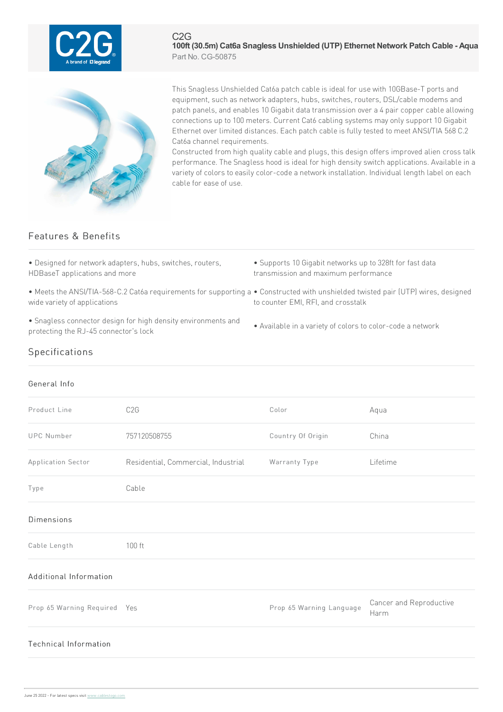

C2G **100ft (30.5m) Cat6a Snagless Unshielded (UTP) Ethernet Network Patch Cable - Aqua** Part No. CG-50875



This Snagless Unshielded Cat6a patch cable is ideal for use with 10GBase-T ports and equipment, such as network adapters, hubs, switches, routers, DSL/cable modems and patch panels, and enables 10 Gigabit data transmission over a 4 pair copper cable allowing connections up to 100 meters. Current Cat6 cabling systems may only support 10 Gigabit Ethernet over limited distances. Each patch cable is fully tested to meet ANSI/TIA 568 C.2 Cat6a channel requirements.

Constructed from high quality cable and plugs, this design offers improved alien cross talk performance. The Snagless hood is ideal for high density switch applications. Available in a variety of colors to easily color-code a network installation. Individual length label on each cablefor easeofuse.

## Features & Benefits

• Designed for network adapters, hubs, switches, routers, HDBaseT applications and more

- Supports 10 Gigabit networks up to 328ft for fast data transmission and maximum performance
- Meets the ANSI/TIA-568-C.2 Cat6a requirements for supporting a Constructed with unshielded twisted pair (UTP) wires, designed wide variety of applications
- Snagless connector design for high density environments and protecting the RJ-45 connector's lock
	- Available in a variety of colors to color-code a network

to counter EMI, RFI, and crosstalk

## Specifications

## General Info

| Product Line                 | C <sub>2</sub> G                    | Color                    | Aqua                            |
|------------------------------|-------------------------------------|--------------------------|---------------------------------|
| <b>UPC Number</b>            | 757120508755                        | Country Of Origin        | China                           |
| Application Sector           | Residential, Commercial, Industrial | Warranty Type            | Lifetime                        |
| Type                         | Cable                               |                          |                                 |
| Dimensions                   |                                     |                          |                                 |
| Cable Length                 | 100 ft                              |                          |                                 |
| Additional Information       |                                     |                          |                                 |
| Prop 65 Warning Required Yes |                                     | Prop 65 Warning Language | Cancer and Reproductive<br>Harm |
| Technical Information        |                                     |                          |                                 |
|                              |                                     |                          |                                 |